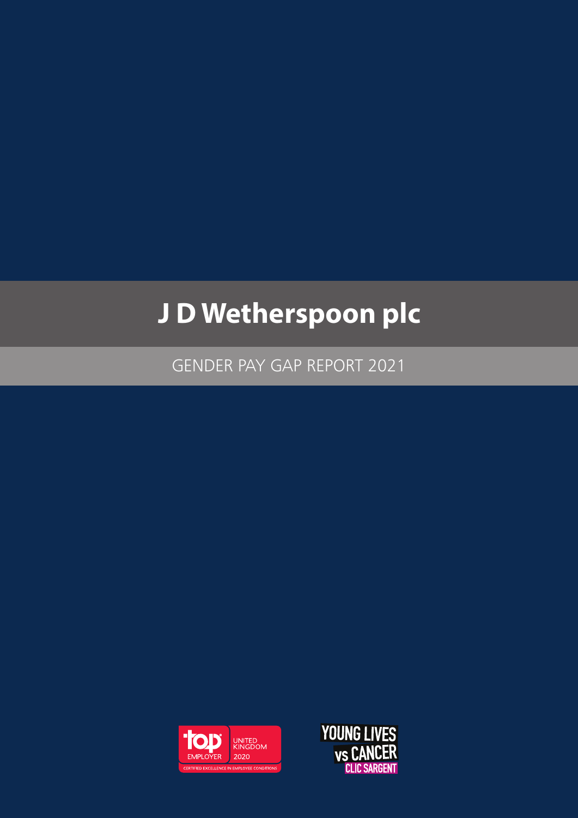# **J D Wetherspoon plc**

GENDER PAY GAP REPORT 2021



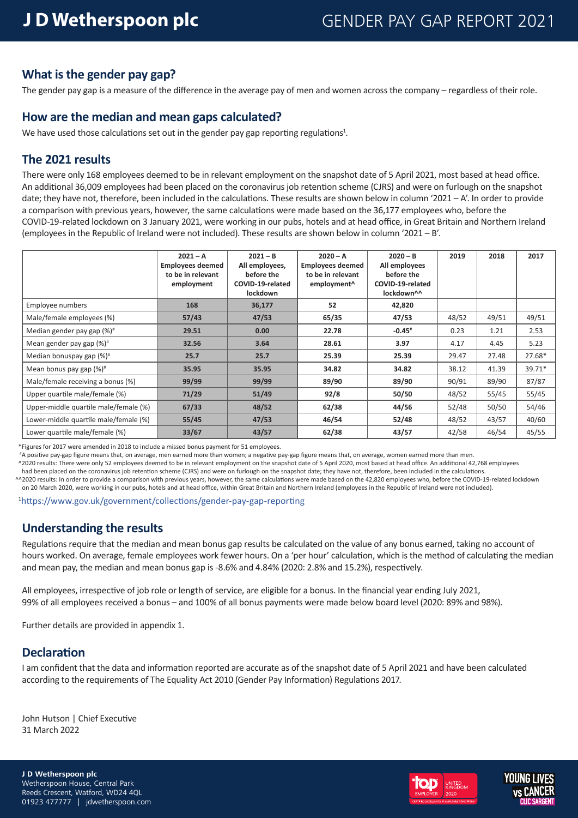#### **What is the gender pay gap?**

The gender pay gap is a measure of the difference in the average pay of men and women across the company – regardless of their role.

#### **How are the median and mean gaps calculated?**

We have used those calculations set out in the gender pay gap reporting regulations<sup>1</sup>.

#### **The 2021 results**

There were only 168 employees deemed to be in relevant employment on the snapshot date of 5 April 2021, most based at head office. An additional 36,009 employees had been placed on the coronavirus job retention scheme (CJRS) and were on furlough on the snapshot date; they have not, therefore, been included in the calculations. These results are shown below in column '2021 – A'. In order to provide a comparison with previous years, however, the same calculations were made based on the 36,177 employees who, before the COVID-19-related lockdown on 3 January 2021, were working in our pubs, hotels and at head office, in Great Britain and Northern Ireland (employees in the Republic of Ireland were not included). These results are shown below in column '2021 – B'.

|                                        | $2021 - A$<br><b>Employees deemed</b><br>to be in relevant<br>employment | $2021 - B$<br>All employees,<br>before the<br>COVID-19-related<br><b>lockdown</b> | $2020 - A$<br><b>Employees deemed</b><br>to be in relevant<br>employment <sup>^</sup> | $2020 - B$<br>All employees<br>before the<br>COVID-19-related<br>lockdown^^ | 2019  | 2018  | 2017   |
|----------------------------------------|--------------------------------------------------------------------------|-----------------------------------------------------------------------------------|---------------------------------------------------------------------------------------|-----------------------------------------------------------------------------|-------|-------|--------|
| Employee numbers                       | 168                                                                      | 36,177                                                                            | 52                                                                                    | 42,820                                                                      |       |       |        |
| Male/female employees (%)              | 57/43                                                                    | 47/53                                                                             | 65/35                                                                                 | 47/53                                                                       | 48/52 | 49/51 | 49/51  |
| Median gender pay gap (%) <sup>#</sup> | 29.51                                                                    | 0.00                                                                              | 22.78                                                                                 | $-0.45$ <sup>#</sup>                                                        | 0.23  | 1.21  | 2.53   |
| Mean gender pay gap (%) <sup>#</sup>   | 32.56                                                                    | 3.64                                                                              | 28.61                                                                                 | 3.97                                                                        | 4.17  | 4.45  | 5.23   |
| Median bonuspay gap $(\%)^*$           | 25.7                                                                     | 25.7                                                                              | 25.39                                                                                 | 25.39                                                                       | 29.47 | 27.48 | 27.68* |
| Mean bonus pay gap $(\%)^*$            | 35.95                                                                    | 35.95                                                                             | 34.82                                                                                 | 34.82                                                                       | 38.12 | 41.39 | 39.71* |
| Male/female receiving a bonus (%)      | 99/99                                                                    | 99/99                                                                             | 89/90                                                                                 | 89/90                                                                       | 90/91 | 89/90 | 87/87  |
| Upper quartile male/female (%)         | 71/29                                                                    | 51/49                                                                             | 92/8                                                                                  | 50/50                                                                       | 48/52 | 55/45 | 55/45  |
| Upper-middle quartile male/female (%)  | 67/33                                                                    | 48/52                                                                             | 62/38                                                                                 | 44/56                                                                       | 52/48 | 50/50 | 54/46  |
| Lower-middle quartile male/female (%)  | 55/45                                                                    | 47/53                                                                             | 46/54                                                                                 | 52/48                                                                       | 48/52 | 43/57 | 40/60  |
| Lower quartile male/female (%)         | 33/67                                                                    | 43/57                                                                             | 62/38                                                                                 | 43/57                                                                       | 42/58 | 46/54 | 45/55  |

\*Figures for 2017 were amended in 2018 to include a missed bonus payment for 51 employees.

#A positive pay-gap figure means that, on average, men earned more than women; a negative pay-gap figure means that, on average, women earned more than men.

 ^2020 results: There were only 52 employees deemed to be in relevant employment on the snapshot date of 5 April 2020, most based at head office. An additional 42,768 employees had been placed on the coronavirus job retention scheme (CJRS) and were on furlough on the snapshot date; they have not, therefore, been included in the calculations.

^^2020 results: In order to provide a comparison with previous years, however, the same calculations were made based on the 42,820 employees who, before the COVID-19-related lockdown on 20 March 2020, were working in our pubs, hotels and at head office, within Great Britain and Northern Ireland (employees in the Republic of Ireland were not included).

1https://www.gov.uk/government/collections/gender-pay-gap-reporting

### **Understanding the results**

Regulations require that the median and mean bonus gap results be calculated on the value of any bonus earned, taking no account of hours worked. On average, female employees work fewer hours. On a 'per hour' calculation, which is the method of calculating the median and mean pay, the median and mean bonus gap is -8.6% and 4.84% (2020: 2.8% and 15.2%), respectively.

All employees, irrespective of job role or length of service, are eligible for a bonus. In the financial year ending July 2021, 99% of all employees received a bonus – and 100% of all bonus payments were made below board level (2020: 89% and 98%).

Further details are provided in appendix 1.

#### **Declaration**

I am confident that the data and information reported are accurate as of the snapshot date of 5 April 2021 and have been calculated according to the requirements of The Equality Act 2010 (Gender Pay Information) Regulations 2017.

John Hutson | Chief Executive 31 March 2022

**J D Wetherspoon plc**  Wetherspoon House, Central Park Reeds Crescent, Watford, WD24 4QL 01923 477777 | jdwetherspoon.com



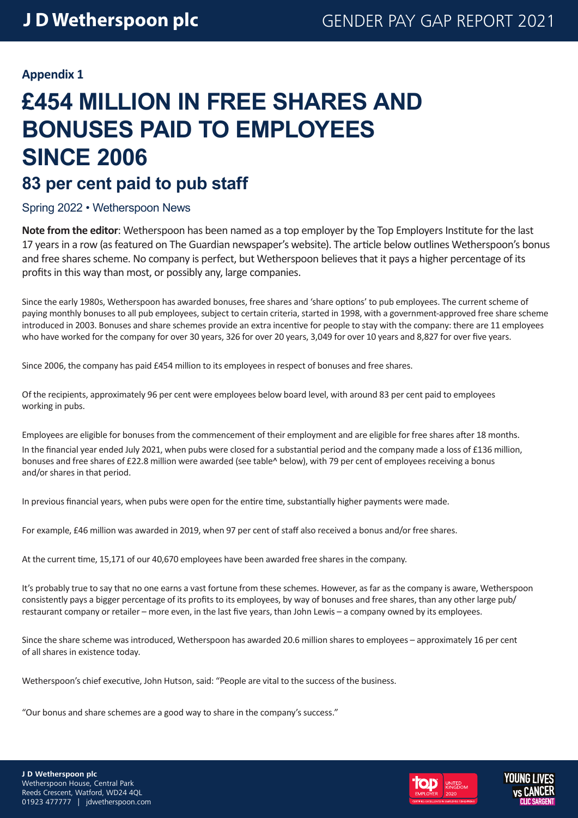#### **Appendix 1**

## **£454 MILLION IN FREE SHARES AND BONUSES PAID TO EMPLOYEES SINCE 2006 83 per cent paid to pub staff**

#### Spring 2022 • Wetherspoon News

**Note from the editor**: Wetherspoon has been named as a top employer by the Top Employers Institute for the last 17 years in a row (as featured on The Guardian newspaper's website). The article below outlines Wetherspoon's bonus and free shares scheme. No company is perfect, but Wetherspoon believes that it pays a higher percentage of its profits in this way than most, or possibly any, large companies.

Since the early 1980s, Wetherspoon has awarded bonuses, free shares and 'share options' to pub employees. The current scheme of paying monthly bonuses to all pub employees, subject to certain criteria, started in 1998, with a government-approved free share scheme introduced in 2003. Bonuses and share schemes provide an extra incentive for people to stay with the company: there are 11 employees who have worked for the company for over 30 years, 326 for over 20 years, 3,049 for over 10 years and 8,827 for over five years.

Since 2006, the company has paid £454 million to its employees in respect of bonuses and free shares.

Of the recipients, approximately 96 per cent were employees below board level, with around 83 per cent paid to employees working in pubs.

Employees are eligible for bonuses from the commencement of their employment and are eligible for free shares after 18 months. In the financial year ended July 2021, when pubs were closed for a substantial period and the company made a loss of £136 million, bonuses and free shares of £22.8 million were awarded (see table^ below), with 79 per cent of employees receiving a bonus and/or shares in that period.

In previous financial years, when pubs were open for the entire time, substantially higher payments were made.

For example, £46 million was awarded in 2019, when 97 per cent of staff also received a bonus and/or free shares.

At the current time, 15,171 of our 40,670 employees have been awarded free shares in the company.

It's probably true to say that no one earns a vast fortune from these schemes. However, as far as the company is aware, Wetherspoon consistently pays a bigger percentage of its profits to its employees, by way of bonuses and free shares, than any other large pub/ restaurant company or retailer – more even, in the last five years, than John Lewis – a company owned by its employees.

Since the share scheme was introduced, Wetherspoon has awarded 20.6 million shares to employees – approximately 16 per cent of all shares in existence today.

Wetherspoon's chief executive, John Hutson, said: "People are vital to the success of the business.

"Our bonus and share schemes are a good way to share in the company's success."